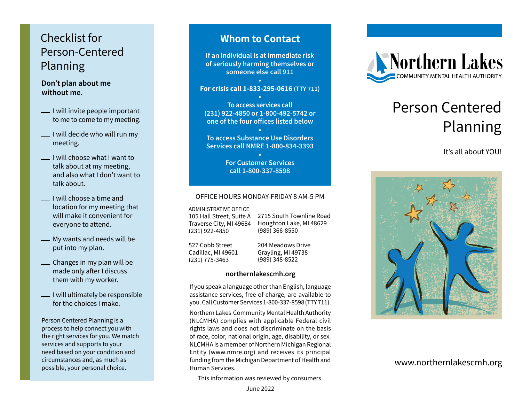## Checklist for Person-Centered Planning

**Don't plan about me without me.**

- -I will invite people important to me to come to my meeting.
- I will decide who will run my meeting.
- I will choose what I want to talk about at my meeting, and also what I don't want to talk about.
- I will choose a time and location for my meeting that will make it convenient for everyone to attend.
- My wants and needs will be put into my plan.
- Changes in my plan will be made only after I discuss them with my worker.
- -I will ultimately be responsible for the choices I make.

Person Centered Planning is a process to help connect you with the right services for you. We match services and supports to your need based on your condition and circumstances and, as much as possible, your personal choice.

### **Whom to Contact**

**If an individual is at immediate risk of seriously harming themselves or someone else call 911**

#### **• For crisis call 1-833-295-0616 (TTY 711)**

**• To access services call (231) 922-4850 or 1-800-492-5742 or one of the four offices listed below**

**• To access Substance Use Disorders Services call NMRE 1-800-834-3393**

> **• For Customer Services call 1-800-337-8598**

#### OFFICE HOURS MONDAY-FRIDAY 8 AM-5 PM

ADMINISTRATIVE OFFICE

105 Hall Street, Suite A Traverse City, MI 49684 (231) 922-4850

2715 South Townline Road Houghton Lake, MI 48629 (989) 366-8550

527 Cobb Street Cadillac, MI 49601 (231) 775-3463

204 Meadows Drive Grayling, MI 49738 (989) 348-8522

#### **northernlakescmh.org**

If you speak a language other than English, language assistance services, free of charge, are available to you. Call Customer Services 1-800-337-8598 (TTY 711).

Northern Lakes Community Mental Health Authority (NLCMHA) complies with applicable Federal civil rights laws and does not discriminate on the basis of race, color, national origin, age, disability, or sex. NLCMHA is a member of Northern Michigan Regional Entity (www.nmre.org) and receives its principal funding from the Michigan Department of Health and Human Services.

This information was reviewed by consumers.





# Person Centered Planning

It's all about YOU!



www.northernlakescmh.org